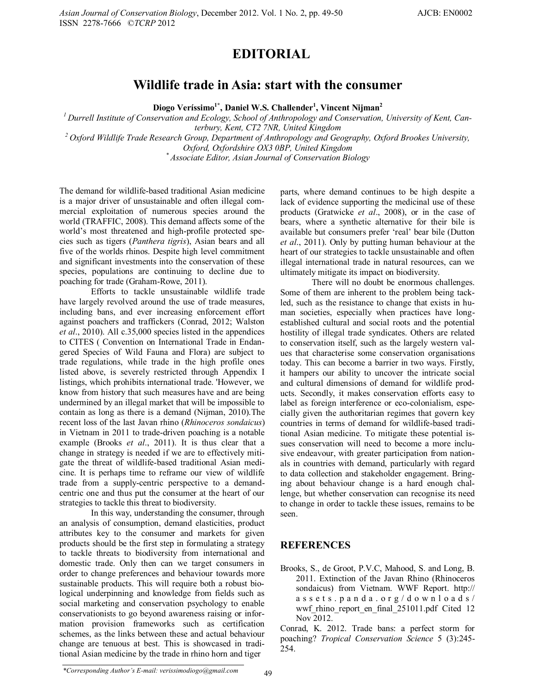## **EDITORIAL**

## **Wildlife trade in Asia: start with the consumer**

**Diogo Veríssimo1\*, Daniel W.S. Challender<sup>1</sup> , Vincent Nijman<sup>2</sup>**

*<sup>1</sup>Durrell Institute of Conservation and Ecology, School of Anthropology and Conservation, University of Kent, Canterbury, Kent, CT2 7NR, United Kingdom*

*<sup>2</sup>Oxford Wildlife Trade Research Group, Department of Anthropology and Geography, Oxford Brookes University,* 

*Oxford, Oxfordshire OX3 0BP, United Kingdom*

*\* Associate Editor, Asian Journal of Conservation Biology*

The demand for wildlife-based traditional Asian medicine is a major driver of unsustainable and often illegal commercial exploitation of numerous species around the world (TRAFFIC, 2008). This demand affects some of the world's most threatened and high-profile protected species such as tigers (*Panthera tigris*), Asian bears and all five of the worlds rhinos. Despite high level commitment and significant investments into the conservation of these species, populations are continuing to decline due to poaching for trade (Graham-Rowe, 2011).

Efforts to tackle unsustainable wildlife trade have largely revolved around the use of trade measures, including bans, and ever increasing enforcement effort against poachers and traffickers (Conrad, 2012; Walston *et al*., 2010). All c.35,000 species listed in the appendices to CITES ( Convention on International Trade in Endangered Species of Wild Fauna and Flora) are subject to trade regulations, while trade in the high profile ones listed above, is severely restricted through Appendix I listings, which prohibits international trade. 'However, we know from history that such measures have and are being undermined by an illegal market that will be impossible to contain as long as there is a demand (Nijman, 2010).The recent loss of the last Javan rhino (*Rhinoceros sondaicus*) in Vietnam in 2011 to trade-driven poaching is a notable example (Brooks *et al*., 2011). It is thus clear that a change in strategy is needed if we are to effectively mitigate the threat of wildlife-based traditional Asian medicine. It is perhaps time to reframe our view of wildlife trade from a supply-centric perspective to a demandcentric one and thus put the consumer at the heart of our strategies to tackle this threat to biodiversity.

In this way, understanding the consumer, through an analysis of consumption, demand elasticities, product attributes key to the consumer and markets for given products should be the first step in formulating a strategy to tackle threats to biodiversity from international and domestic trade. Only then can we target consumers in order to change preferences and behaviour towards more sustainable products. This will require both a robust biological underpinning and knowledge from fields such as social marketing and conservation psychology to enable conservationists to go beyond awareness raising or information provision frameworks such as certification schemes, as the links between these and actual behaviour change are tenuous at best. This is showcased in traditional Asian medicine by the trade in rhino horn and tiger

parts, where demand continues to be high despite a lack of evidence supporting the medicinal use of these products (Gratwicke *et al*., 2008), or in the case of bears, where a synthetic alternative for their bile is available but consumers prefer 'real' bear bile (Dutton *et al*., 2011). Only by putting human behaviour at the heart of our strategies to tackle unsustainable and often illegal international trade in natural resources, can we ultimately mitigate its impact on biodiversity.

There will no doubt be enormous challenges. Some of them are inherent to the problem being tackled, such as the resistance to change that exists in human societies, especially when practices have longestablished cultural and social roots and the potential hostility of illegal trade syndicates. Others are related to conservation itself, such as the largely western values that characterise some conservation organisations today. This can become a barrier in two ways. Firstly, it hampers our ability to uncover the intricate social and cultural dimensions of demand for wildlife products. Secondly, it makes conservation efforts easy to label as foreign interference or eco-colonialism, especially given the authoritarian regimes that govern key countries in terms of demand for wildlife-based traditional Asian medicine. To mitigate these potential issues conservation will need to become a more inclusive endeavour, with greater participation from nationals in countries with demand, particularly with regard to data collection and stakeholder engagement. Bringing about behaviour change is a hard enough challenge, but whether conservation can recognise its need to change in order to tackle these issues, remains to be seen.

## **REFERENCES**

Brooks, S., de Groot, P.V.C, Mahood, S. and Long, B. 2011. Extinction of the Javan Rhino (Rhinoceros sondaicus) from Vietnam. WWF Report. http://  $a$  s s e t s . p a n d a . o r g / d o w n l o a d s / wwf rhino report en final 251011.pdf Cited 12 Nov 2012.

Conrad, K. 2012. Trade bans: a perfect storm for poaching? *Tropical Conservation Science* 5 (3):245- 254.

*\*Corresponding Author's E-mail: verissimodiogo@gmail.com* 49